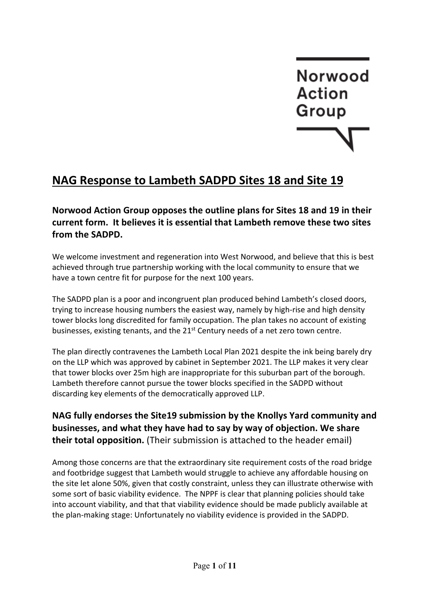# **Norwood Action** Group

## **NAG Response to Lambeth SADPD Sites 18 and Site 19**

**Norwood Action Group opposes the outline plans for Sites 18 and 19 in their current form. It believes it is essential that Lambeth remove these two sites from the SADPD.** 

We welcome investment and regeneration into West Norwood, and believe that this is best achieved through true partnership working with the local community to ensure that we have a town centre fit for purpose for the next 100 years.

The SADPD plan is a poor and incongruent plan produced behind Lambeth's closed doors, trying to increase housing numbers the easiest way, namely by high-rise and high density tower blocks long discredited for family occupation. The plan takes no account of existing businesses, existing tenants, and the 21<sup>st</sup> Century needs of a net zero town centre.

The plan directly contravenes the Lambeth Local Plan 2021 despite the ink being barely dry on the LLP which was approved by cabinet in September 2021. The LLP makes it very clear that tower blocks over 25m high are inappropriate for this suburban part of the borough. Lambeth therefore cannot pursue the tower blocks specified in the SADPD without discarding key elements of the democratically approved LLP.

**NAG fully endorses the Site19 submission by the Knollys Yard community and businesses, and what they have had to say by way of objection. We share their total opposition.** (Their submission is attached to the header email)

Among those concerns are that the extraordinary site requirement costs of the road bridge and footbridge suggest that Lambeth would struggle to achieve any affordable housing on the site let alone 50%, given that costly constraint, unless they can illustrate otherwise with some sort of basic viability evidence. The NPPF is clear that planning policies should take into account viability, and that that viability evidence should be made publicly available at the plan-making stage: Unfortunately no viability evidence is provided in the SADPD.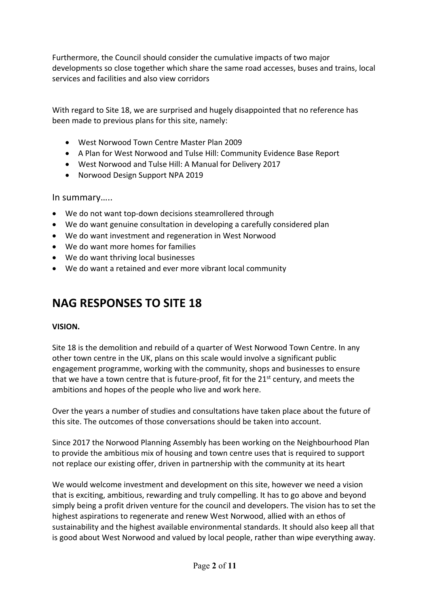Furthermore, the Council should consider the cumulative impacts of two major developments so close together which share the same road accesses, buses and trains, local services and facilities and also view corridors

With regard to Site 18, we are surprised and hugely disappointed that no reference has been made to previous plans for this site, namely:

- West Norwood Town Centre Master Plan 2009
- A Plan for West Norwood and Tulse Hill: Community Evidence Base Report
- West Norwood and Tulse Hill: A Manual for Delivery 2017
- Norwood Design Support NPA 2019

In summary…..

- We do not want top-down decisions steamrollered through
- We do want genuine consultation in developing a carefully considered plan
- We do want investment and regeneration in West Norwood
- We do want more homes for families
- We do want thriving local businesses
- We do want a retained and ever more vibrant local community

### **NAG RESPONSES TO SITE 18**

#### **VISION.**

Site 18 is the demolition and rebuild of a quarter of West Norwood Town Centre. In any other town centre in the UK, plans on this scale would involve a significant public engagement programme, working with the community, shops and businesses to ensure that we have a town centre that is future-proof, fit for the  $21<sup>st</sup>$  century, and meets the ambitions and hopes of the people who live and work here.

Over the years a number of studies and consultations have taken place about the future of this site. The outcomes of those conversations should be taken into account.

Since 2017 the Norwood Planning Assembly has been working on the Neighbourhood Plan to provide the ambitious mix of housing and town centre uses that is required to support not replace our existing offer, driven in partnership with the community at its heart

We would welcome investment and development on this site, however we need a vision that is exciting, ambitious, rewarding and truly compelling. It has to go above and beyond simply being a profit driven venture for the council and developers. The vision has to set the highest aspirations to regenerate and renew West Norwood, allied with an ethos of sustainability and the highest available environmental standards. It should also keep all that is good about West Norwood and valued by local people, rather than wipe everything away.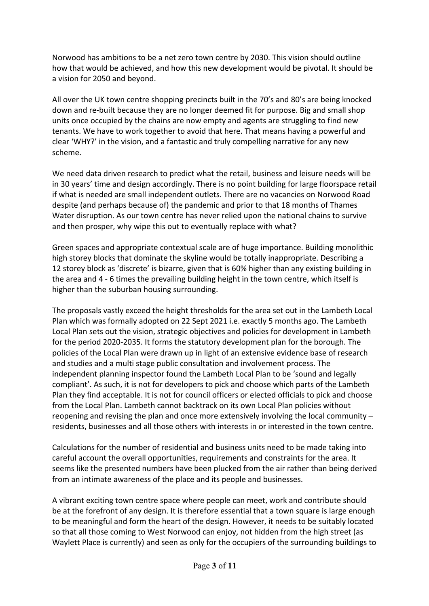Norwood has ambitions to be a net zero town centre by 2030. This vision should outline how that would be achieved, and how this new development would be pivotal. It should be a vision for 2050 and beyond.

All over the UK town centre shopping precincts built in the 70's and 80's are being knocked down and re-built because they are no longer deemed fit for purpose. Big and small shop units once occupied by the chains are now empty and agents are struggling to find new tenants. We have to work together to avoid that here. That means having a powerful and clear 'WHY?' in the vision, and a fantastic and truly compelling narrative for any new scheme.

We need data driven research to predict what the retail, business and leisure needs will be in 30 years' time and design accordingly. There is no point building for large floorspace retail if what is needed are small independent outlets. There are no vacancies on Norwood Road despite (and perhaps because of) the pandemic and prior to that 18 months of Thames Water disruption. As our town centre has never relied upon the national chains to survive and then prosper, why wipe this out to eventually replace with what?

Green spaces and appropriate contextual scale are of huge importance. Building monolithic high storey blocks that dominate the skyline would be totally inappropriate. Describing a 12 storey block as 'discrete' is bizarre, given that is 60% higher than any existing building in the area and 4 - 6 times the prevailing building height in the town centre, which itself is higher than the suburban housing surrounding.

The proposals vastly exceed the height thresholds for the area set out in the Lambeth Local Plan which was formally adopted on 22 Sept 2021 i.e. exactly 5 months ago. The Lambeth Local Plan sets out the vision, strategic objectives and policies for development in Lambeth for the period 2020-2035. It forms the statutory development plan for the borough. The policies of the Local Plan were drawn up in light of an extensive evidence base of research and studies and a multi stage public consultation and involvement process. The independent planning inspector found the Lambeth Local Plan to be 'sound and legally compliant'. As such, it is not for developers to pick and choose which parts of the Lambeth Plan they find acceptable. It is not for council officers or elected officials to pick and choose from the Local Plan. Lambeth cannot backtrack on its own Local Plan policies without reopening and revising the plan and once more extensively involving the local community – residents, businesses and all those others with interests in or interested in the town centre.

Calculations for the number of residential and business units need to be made taking into careful account the overall opportunities, requirements and constraints for the area. It seems like the presented numbers have been plucked from the air rather than being derived from an intimate awareness of the place and its people and businesses.

A vibrant exciting town centre space where people can meet, work and contribute should be at the forefront of any design. It is therefore essential that a town square is large enough to be meaningful and form the heart of the design. However, it needs to be suitably located so that all those coming to West Norwood can enjoy, not hidden from the high street (as Waylett Place is currently) and seen as only for the occupiers of the surrounding buildings to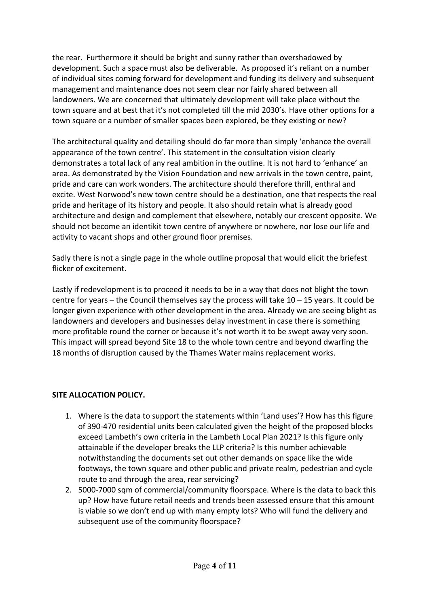the rear. Furthermore it should be bright and sunny rather than overshadowed by development. Such a space must also be deliverable. As proposed it's reliant on a number of individual sites coming forward for development and funding its delivery and subsequent management and maintenance does not seem clear nor fairly shared between all landowners. We are concerned that ultimately development will take place without the town square and at best that it's not completed till the mid 2030's. Have other options for a town square or a number of smaller spaces been explored, be they existing or new?

The architectural quality and detailing should do far more than simply 'enhance the overall appearance of the town centre'. This statement in the consultation vision clearly demonstrates a total lack of any real ambition in the outline. It is not hard to 'enhance' an area. As demonstrated by the Vision Foundation and new arrivals in the town centre, paint, pride and care can work wonders. The architecture should therefore thrill, enthral and excite. West Norwood's new town centre should be a destination, one that respects the real pride and heritage of its history and people. It also should retain what is already good architecture and design and complement that elsewhere, notably our crescent opposite. We should not become an identikit town centre of anywhere or nowhere, nor lose our life and activity to vacant shops and other ground floor premises.

Sadly there is not a single page in the whole outline proposal that would elicit the briefest flicker of excitement.

Lastly if redevelopment is to proceed it needs to be in a way that does not blight the town centre for years – the Council themselves say the process will take  $10 - 15$  years. It could be longer given experience with other development in the area. Already we are seeing blight as landowners and developers and businesses delay investment in case there is something more profitable round the corner or because it's not worth it to be swept away very soon. This impact will spread beyond Site 18 to the whole town centre and beyond dwarfing the 18 months of disruption caused by the Thames Water mains replacement works.

#### **SITE ALLOCATION POLICY.**

- 1. Where is the data to support the statements within 'Land uses'? How has this figure of 390-470 residential units been calculated given the height of the proposed blocks exceed Lambeth's own criteria in the Lambeth Local Plan 2021? Is this figure only attainable if the developer breaks the LLP criteria? Is this number achievable notwithstanding the documents set out other demands on space like the wide footways, the town square and other public and private realm, pedestrian and cycle route to and through the area, rear servicing?
- 2. 5000-7000 sqm of commercial/community floorspace. Where is the data to back this up? How have future retail needs and trends been assessed ensure that this amount is viable so we don't end up with many empty lots? Who will fund the delivery and subsequent use of the community floorspace?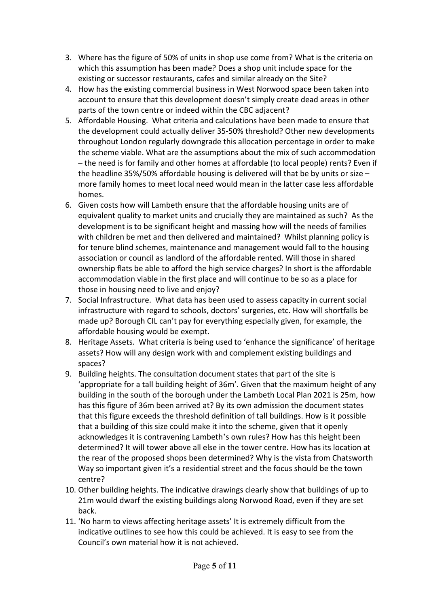- 3. Where has the figure of 50% of units in shop use come from? What is the criteria on which this assumption has been made? Does a shop unit include space for the existing or successor restaurants, cafes and similar already on the Site?
- 4. How has the existing commercial business in West Norwood space been taken into account to ensure that this development doesn't simply create dead areas in other parts of the town centre or indeed within the CBC adjacent?
- 5. Affordable Housing. What criteria and calculations have been made to ensure that the development could actually deliver 35-50% threshold? Other new developments throughout London regularly downgrade this allocation percentage in order to make the scheme viable. What are the assumptions about the mix of such accommodation – the need is for family and other homes at affordable (to local people) rents? Even if the headline 35%/50% affordable housing is delivered will that be by units or size  $$ more family homes to meet local need would mean in the latter case less affordable homes.
- 6. Given costs how will Lambeth ensure that the affordable housing units are of equivalent quality to market units and crucially they are maintained as such? As the development is to be significant height and massing how will the needs of families with children be met and then delivered and maintained? Whilst planning policy is for tenure blind schemes, maintenance and management would fall to the housing association or council as landlord of the affordable rented. Will those in shared ownership flats be able to afford the high service charges? In short is the affordable accommodation viable in the first place and will continue to be so as a place for those in housing need to live and enjoy?
- 7. Social Infrastructure. What data has been used to assess capacity in current social infrastructure with regard to schools, doctors' surgeries, etc. How will shortfalls be made up? Borough CIL can't pay for everything especially given, for example, the affordable housing would be exempt.
- 8. Heritage Assets. What criteria is being used to 'enhance the significance' of heritage assets? How will any design work with and complement existing buildings and spaces?
- 9. Building heights. The consultation document states that part of the site is 'appropriate for a tall building height of 36m'. Given that the maximum height of any building in the south of the borough under the Lambeth Local Plan 2021 is 25m, how has this figure of 36m been arrived at? By its own admission the document states that this figure exceeds the threshold definition of tall buildings. How is it possible that a building of this size could make it into the scheme, given that it openly acknowledges it is contravening Lambeth's own rules? How has this height been determined? It will tower above all else in the tower centre. How has its location at the rear of the proposed shops been determined? Why is the vista from Chatsworth Way so important given it's a residential street and the focus should be the town centre?
- 10. Other building heights. The indicative drawings clearly show that buildings of up to 21m would dwarf the existing buildings along Norwood Road, even if they are set back.
- 11. 'No harm to views affecting heritage assets' It is extremely difficult from the indicative outlines to see how this could be achieved. It is easy to see from the Council's own material how it is not achieved.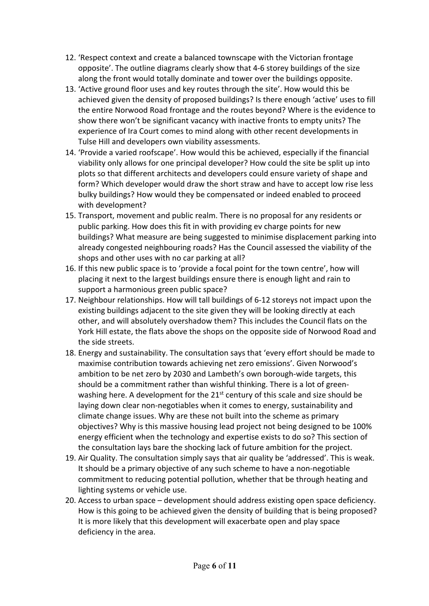- 12. 'Respect context and create a balanced townscape with the Victorian frontage opposite'. The outline diagrams clearly show that 4-6 storey buildings of the size along the front would totally dominate and tower over the buildings opposite.
- 13. 'Active ground floor uses and key routes through the site'. How would this be achieved given the density of proposed buildings? Is there enough 'active' uses to fill the entire Norwood Road frontage and the routes beyond? Where is the evidence to show there won't be significant vacancy with inactive fronts to empty units? The experience of Ira Court comes to mind along with other recent developments in Tulse Hill and developers own viability assessments.
- 14. 'Provide a varied roofscape'. How would this be achieved, especially if the financial viability only allows for one principal developer? How could the site be split up into plots so that different architects and developers could ensure variety of shape and form? Which developer would draw the short straw and have to accept low rise less bulky buildings? How would they be compensated or indeed enabled to proceed with development?
- 15. Transport, movement and public realm. There is no proposal for any residents or public parking. How does this fit in with providing ev charge points for new buildings? What measure are being suggested to minimise displacement parking into already congested neighbouring roads? Has the Council assessed the viability of the shops and other uses with no car parking at all?
- 16. If this new public space is to 'provide a focal point for the town centre', how will placing it next to the largest buildings ensure there is enough light and rain to support a harmonious green public space?
- 17. Neighbour relationships. How will tall buildings of 6-12 storeys not impact upon the existing buildings adjacent to the site given they will be looking directly at each other, and will absolutely overshadow them? This includes the Council flats on the York Hill estate, the flats above the shops on the opposite side of Norwood Road and the side streets.
- 18. Energy and sustainability. The consultation says that 'every effort should be made to maximise contribution towards achieving net zero emissions'. Given Norwood's ambition to be net zero by 2030 and Lambeth's own borough-wide targets, this should be a commitment rather than wishful thinking. There is a lot of greenwashing here. A development for the  $21^{st}$  century of this scale and size should be laying down clear non-negotiables when it comes to energy, sustainability and climate change issues. Why are these not built into the scheme as primary objectives? Why is this massive housing lead project not being designed to be 100% energy efficient when the technology and expertise exists to do so? This section of the consultation lays bare the shocking lack of future ambition for the project.
- 19. Air Quality. The consultation simply says that air quality be 'addressed'. This is weak. It should be a primary objective of any such scheme to have a non-negotiable commitment to reducing potential pollution, whether that be through heating and lighting systems or vehicle use.
- 20. Access to urban space development should address existing open space deficiency. How is this going to be achieved given the density of building that is being proposed? It is more likely that this development will exacerbate open and play space deficiency in the area.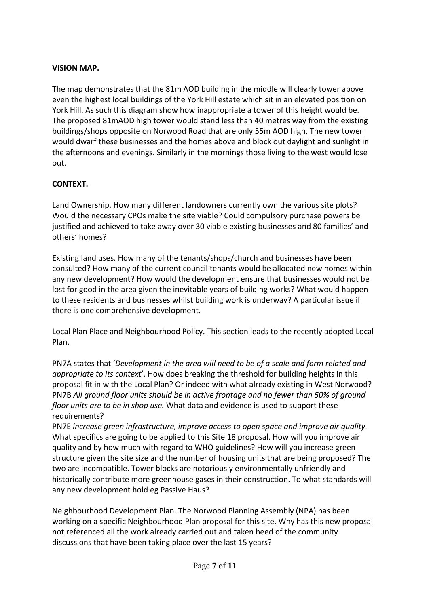#### **VISION MAP.**

The map demonstrates that the 81m AOD building in the middle will clearly tower above even the highest local buildings of the York Hill estate which sit in an elevated position on York Hill. As such this diagram show how inappropriate a tower of this height would be. The proposed 81mAOD high tower would stand less than 40 metres way from the existing buildings/shops opposite on Norwood Road that are only 55m AOD high. The new tower would dwarf these businesses and the homes above and block out daylight and sunlight in the afternoons and evenings. Similarly in the mornings those living to the west would lose out.

#### **CONTEXT.**

Land Ownership. How many different landowners currently own the various site plots? Would the necessary CPOs make the site viable? Could compulsory purchase powers be justified and achieved to take away over 30 viable existing businesses and 80 families' and others' homes?

Existing land uses. How many of the tenants/shops/church and businesses have been consulted? How many of the current council tenants would be allocated new homes within any new development? How would the development ensure that businesses would not be lost for good in the area given the inevitable years of building works? What would happen to these residents and businesses whilst building work is underway? A particular issue if there is one comprehensive development.

Local Plan Place and Neighbourhood Policy. This section leads to the recently adopted Local Plan.

PN7A states that '*Development in the area will need to be of a scale and form related and appropriate to its context*'. How does breaking the threshold for building heights in this proposal fit in with the Local Plan? Or indeed with what already existing in West Norwood? PN7B *All ground floor units should be in active frontage and no fewer than 50% of ground floor units are to be in shop use.* What data and evidence is used to support these requirements?

PN7E *increase green infrastructure, improve access to open space and improve air quality.* What specifics are going to be applied to this Site 18 proposal. How will you improve air quality and by how much with regard to WHO guidelines? How will you increase green structure given the site size and the number of housing units that are being proposed? The two are incompatible. Tower blocks are notoriously environmentally unfriendly and historically contribute more greenhouse gases in their construction. To what standards will any new development hold eg Passive Haus?

Neighbourhood Development Plan. The Norwood Planning Assembly (NPA) has been working on a specific Neighbourhood Plan proposal for this site. Why has this new proposal not referenced all the work already carried out and taken heed of the community discussions that have been taking place over the last 15 years?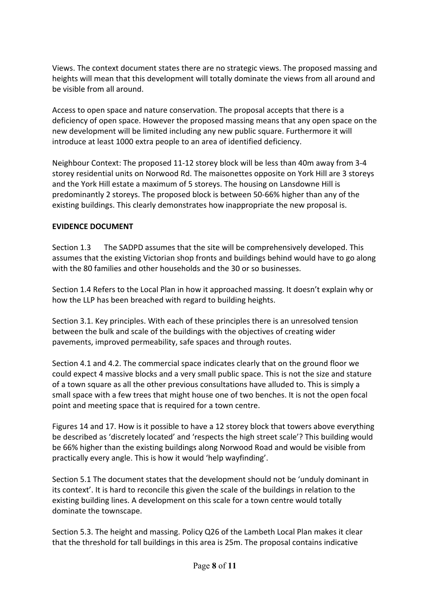Views. The context document states there are no strategic views. The proposed massing and heights will mean that this development will totally dominate the views from all around and be visible from all around.

Access to open space and nature conservation. The proposal accepts that there is a deficiency of open space. However the proposed massing means that any open space on the new development will be limited including any new public square. Furthermore it will introduce at least 1000 extra people to an area of identified deficiency.

Neighbour Context: The proposed 11-12 storey block will be less than 40m away from 3-4 storey residential units on Norwood Rd. The maisonettes opposite on York Hill are 3 storeys and the York Hill estate a maximum of 5 storeys. The housing on Lansdowne Hill is predominantly 2 storeys. The proposed block is between 50-66% higher than any of the existing buildings. This clearly demonstrates how inappropriate the new proposal is.

#### **EVIDENCE DOCUMENT**

Section 1.3 The SADPD assumes that the site will be comprehensively developed. This assumes that the existing Victorian shop fronts and buildings behind would have to go along with the 80 families and other households and the 30 or so businesses.

Section 1.4 Refers to the Local Plan in how it approached massing. It doesn't explain why or how the LLP has been breached with regard to building heights.

Section 3.1. Key principles. With each of these principles there is an unresolved tension between the bulk and scale of the buildings with the objectives of creating wider pavements, improved permeability, safe spaces and through routes.

Section 4.1 and 4.2. The commercial space indicates clearly that on the ground floor we could expect 4 massive blocks and a very small public space. This is not the size and stature of a town square as all the other previous consultations have alluded to. This is simply a small space with a few trees that might house one of two benches. It is not the open focal point and meeting space that is required for a town centre.

Figures 14 and 17. How is it possible to have a 12 storey block that towers above everything be described as 'discretely located' and 'respects the high street scale'? This building would be 66% higher than the existing buildings along Norwood Road and would be visible from practically every angle. This is how it would 'help wayfinding'.

Section 5.1 The document states that the development should not be 'unduly dominant in its context'. It is hard to reconcile this given the scale of the buildings in relation to the existing building lines. A development on this scale for a town centre would totally dominate the townscape.

Section 5.3. The height and massing. Policy Q26 of the Lambeth Local Plan makes it clear that the threshold for tall buildings in this area is 25m. The proposal contains indicative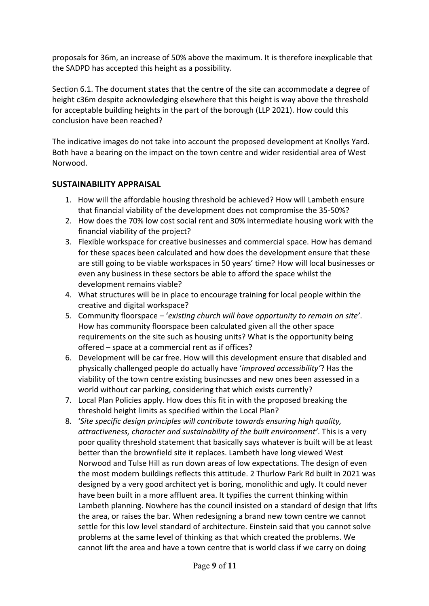proposals for 36m, an increase of 50% above the maximum. It is therefore inexplicable that the SADPD has accepted this height as a possibility.

Section 6.1. The document states that the centre of the site can accommodate a degree of height c36m despite acknowledging elsewhere that this height is way above the threshold for acceptable building heights in the part of the borough (LLP 2021). How could this conclusion have been reached?

The indicative images do not take into account the proposed development at Knollys Yard. Both have a bearing on the impact on the town centre and wider residential area of West Norwood.

#### **SUSTAINABILITY APPRAISAL**

- 1. How will the affordable housing threshold be achieved? How will Lambeth ensure that financial viability of the development does not compromise the 35-50%?
- 2. How does the 70% low cost social rent and 30% intermediate housing work with the financial viability of the project?
- 3. Flexible workspace for creative businesses and commercial space. How has demand for these spaces been calculated and how does the development ensure that these are still going to be viable workspaces in 50 years' time? How will local businesses or even any business in these sectors be able to afford the space whilst the development remains viable?
- 4. What structures will be in place to encourage training for local people within the creative and digital workspace?
- 5. Community floorspace '*existing church will have opportunity to remain on site'*. How has community floorspace been calculated given all the other space requirements on the site such as housing units? What is the opportunity being offered – space at a commercial rent as if offices?
- 6. Development will be car free. How will this development ensure that disabled and physically challenged people do actually have '*improved accessibility'*? Has the viability of the town centre existing businesses and new ones been assessed in a world without car parking, considering that which exists currently?
- 7. Local Plan Policies apply. How does this fit in with the proposed breaking the threshold height limits as specified within the Local Plan?
- 8. '*Site specific design principles will contribute towards ensuring high quality, attractiveness, character and sustainability of the built environment'*. This is a very poor quality threshold statement that basically says whatever is built will be at least better than the brownfield site it replaces. Lambeth have long viewed West Norwood and Tulse Hill as run down areas of low expectations. The design of even the most modern buildings reflects this attitude. 2 Thurlow Park Rd built in 2021 was designed by a very good architect yet is boring, monolithic and ugly. It could never have been built in a more affluent area. It typifies the current thinking within Lambeth planning. Nowhere has the council insisted on a standard of design that lifts the area, or raises the bar. When redesigning a brand new town centre we cannot settle for this low level standard of architecture. Einstein said that you cannot solve problems at the same level of thinking as that which created the problems. We cannot lift the area and have a town centre that is world class if we carry on doing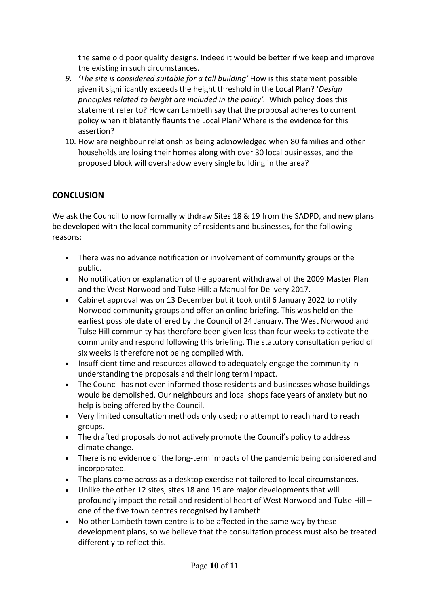the same old poor quality designs. Indeed it would be better if we keep and improve the existing in such circumstances.

- *9. 'The site is considered suitable for a tall building'* How is this statement possible given it significantly exceeds the height threshold in the Local Plan? '*Design principles related to height are included in the policy'.* Which policy does this statement refer to? How can Lambeth say that the proposal adheres to current policy when it blatantly flaunts the Local Plan? Where is the evidence for this assertion?
- 10. How are neighbour relationships being acknowledged when 80 families and other households are losing their homes along with over 30 local businesses, and the proposed block will overshadow every single building in the area?

#### **CONCLUSION**

We ask the Council to now formally withdraw Sites 18 & 19 from the SADPD, and new plans be developed with the local community of residents and businesses, for the following reasons:

- There was no advance notification or involvement of community groups or the public.
- No notification or explanation of the apparent withdrawal of the 2009 Master Plan and the West Norwood and Tulse Hill: a Manual for Delivery 2017.
- Cabinet approval was on 13 December but it took until 6 January 2022 to notify Norwood community groups and offer an online briefing. This was held on the earliest possible date offered by the Council of 24 January. The West Norwood and Tulse Hill community has therefore been given less than four weeks to activate the community and respond following this briefing. The statutory consultation period of six weeks is therefore not being complied with.
- Insufficient time and resources allowed to adequately engage the community in understanding the proposals and their long term impact.
- The Council has not even informed those residents and businesses whose buildings would be demolished. Our neighbours and local shops face years of anxiety but no help is being offered by the Council.
- Very limited consultation methods only used; no attempt to reach hard to reach groups.
- The drafted proposals do not actively promote the Council's policy to address climate change.
- There is no evidence of the long-term impacts of the pandemic being considered and incorporated.
- The plans come across as a desktop exercise not tailored to local circumstances.
- Unlike the other 12 sites, sites 18 and 19 are major developments that will profoundly impact the retail and residential heart of West Norwood and Tulse Hill – one of the five town centres recognised by Lambeth.
- No other Lambeth town centre is to be affected in the same way by these development plans, so we believe that the consultation process must also be treated differently to reflect this.